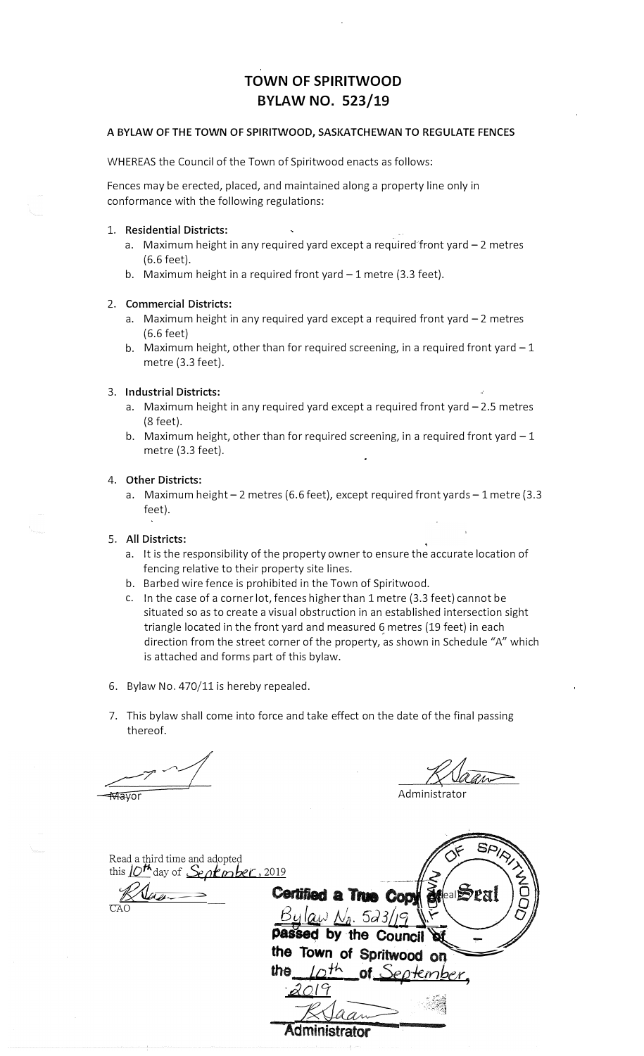# **TOWN OF SPIRITWOOD BYLAW NO. 523/19**

## **A BYLAW OF THE TOWN OF SPIRITWOOD, SASKATCHEWAN TO REGULATE FENCES**

WHEREAS the Council of the Town of Spiritwood enacts as follows:

Fences may be erected, placed, and maintained along a property line only in conformance with the following regulations:

#### **1. Residential Districts:**

- a. Maximum height in any required yard except a required front yard  $-2$  metres  $(6.6 \text{ feet})$ .
- b. Maximum height in a required front yard  $-1$  metre (3.3 feet).

#### **2. Commercial Districts:**

- a. Maximum height in any required yard except a required front yard  $-2$  metres (6.6 feet)
- b. Maximum height, other than for required screening, in a required front yard  $-1$ metre (3.3 feet).

# 3. **Industrial Districts:**

- a. Maximum height in any required yard except a required front yard  $-2.5$  metres (8 feet).
- b. Maximum height, other than for required screening, in a required front yard  $-1$ metre (3.3 feet).

## **4. Other Districts:**

a. Maximum height  $-2$  metres (6.6 feet), except required front yards  $-1$  metre (3.3 feet).

#### **5. All Districts:**

- a. It is the responsibility of the property owner to ensure the accurate location of fencing relative to their property site lines.
- b. Barbed wire fence is prohibited in the Town of Spiritwood.
- c. In the case of a corner lot, fences higher than 1 metre (3.3 feet) cannot be situated so as to create a visual obstruction in an established intersection sight triangle located in the front yard and measured 6 metres (19 feet) in each direction from the street corner of the property, as shown in Schedule "A" which is attached and forms part of this bylaw.
- 6. Bylaw No. 470/11 is hereby repealed.
- 7. This bylaw shall come into force and take effect on the date of the final passing thereof.

 $\mathscr{P} \curvearrowleft$ 

Administrato

| Read a third time and adopted      | ු/⁄২,                            |
|------------------------------------|----------------------------------|
| this $10th$ day of September, 2019 |                                  |
|                                    | Certified a True Copy after Seal |
| CAO                                | $Bylaw N_a$ . 523/19             |
|                                    | passed by the Council            |
|                                    | the Town of Spritwood on         |
|                                    | Loth of September<br>the         |
|                                    |                                  |
|                                    |                                  |
|                                    | <b>Administrator</b>             |